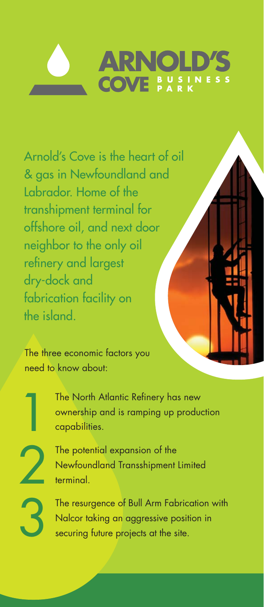# **COVE BUSINESS**

Arnold's Cove is the heart of oil & gas in Newfoundland and Labrador. Home of the transhipment terminal for offshore oil, and next door neighbor to the only oil refinery and largest dry-dock and fabrication facility on the island.

The three economic factors you need to know about:

1

2

3

The North Atlantic Refinery has new ownership and is ramping up production capabilities.

The potential expansion of the Newfoundland Transshipment Limited terminal.

The resurgence of Bull Arm Fabrication with Nalcor taking an aggressive position in securing future projects at the site.